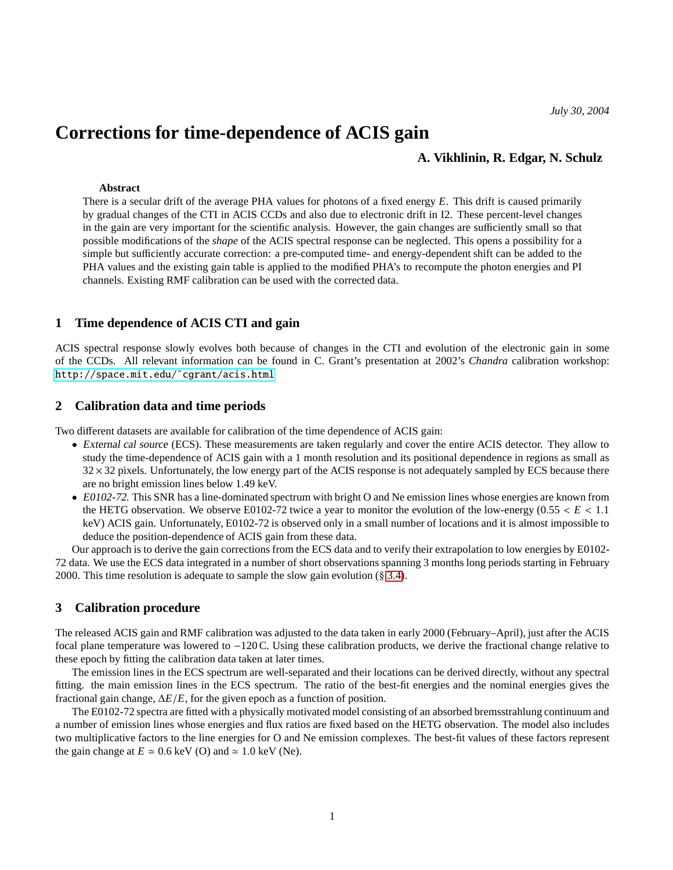# **Corrections for time-dependence of ACIS gain**

## **A. Vikhlinin, R. Edgar, N. Schulz**

#### **Abstract**

There is a secular drift of the average PHA values for photons of a fixed energy *E*. This drift is caused primarily by gradual changes of the CTI in ACIS CCDs and also due to electronic drift in I2. These percent-level changes in the gain are very important for the scientific analysis. However, the gain changes are sufficiently small so that possible modifications of the *shape* of the ACIS spectral response can be neglected. This opens a possibility for a simple but sufficiently accurate correction: a pre-computed time- and energy-dependent shift can be added to the PHA values and the existing gain table is applied to the modified PHA's to recompute the photon energies and PI channels. Existing RMF calibration can be used with the corrected data.

## **1 Time dependence of ACIS CTI and gain**

ACIS spectral response slowly evolves both because of changes in the CTI and evolution of the electronic gain in some of the CCDs. All relevant information can be found in C. Grant's presentation at 2002's *Chandra* calibration workshop: [http://space.mit.edu/˜cgrant/acis.html](http://space.mit.edu/~cgrant/acis.html)

## **2 Calibration data and time periods**

Two different datasets are available for calibration of the time dependence of ACIS gain:

- External cal source (ECS). These measurements are taken regularly and cover the entire ACIS detector. They allow to study the time-dependence of ACIS gain with a 1 month resolution and its positional dependence in regions as small as  $32 \times 32$  pixels. Unfortunately, the low energy part of the ACIS response is not adequately sampled by ECS because there are no bright emission lines below 1.49 keV.
- E0102-72. This SNR has a line-dominated spectrum with bright O and Ne emission lines whose energies are known from the HETG observation. We observe E0102-72 twice a year to monitor the evolution of the low-energy  $(0.55 < E < 1.1)$ keV) ACIS gain. Unfortunately, E0102-72 is observed only in a small number of locations and it is almost impossible to deduce the position-dependence of ACIS gain from these data.

Our approach is to derive the gain corrections from the ECS data and to verify their extrapolation to low energies by E0102- 72 data. We use the ECS data integrated in a number of short observations spanning 3 months long periods starting in February 2000. This time resolution is adequate to sample the slow gain evolution (§ [3.4\)](#page-2-0).

## **3 Calibration procedure**

The released ACIS gain and RMF calibration was adjusted to the data taken in early 2000 (February–April), just after the ACIS focal plane temperature was lowered to −120 C. Using these calibration products, we derive the fractional change relative to these epoch by fitting the calibration data taken at later times.

The emission lines in the ECS spectrum are well-separated and their locations can be derived directly, without any spectral fitting. the main emission lines in the ECS spectrum. The ratio of the best-fit energies and the nominal energies gives the fractional gain change, <sup>∆</sup>*E*/*E*, for the given epoch as a function of position.

The E0102-72 spectra are fitted with a physically motivated model consisting of an absorbed bremsstrahlung continuum and a number of emission lines whose energies and flux ratios are fixed based on the HETG observation. The model also includes two multiplicative factors to the line energies for O and Ne emission complexes. The best-fit values of these factors represent the gain change at  $E \approx 0.6$  keV (O) and  $\approx 1.0$  keV (Ne).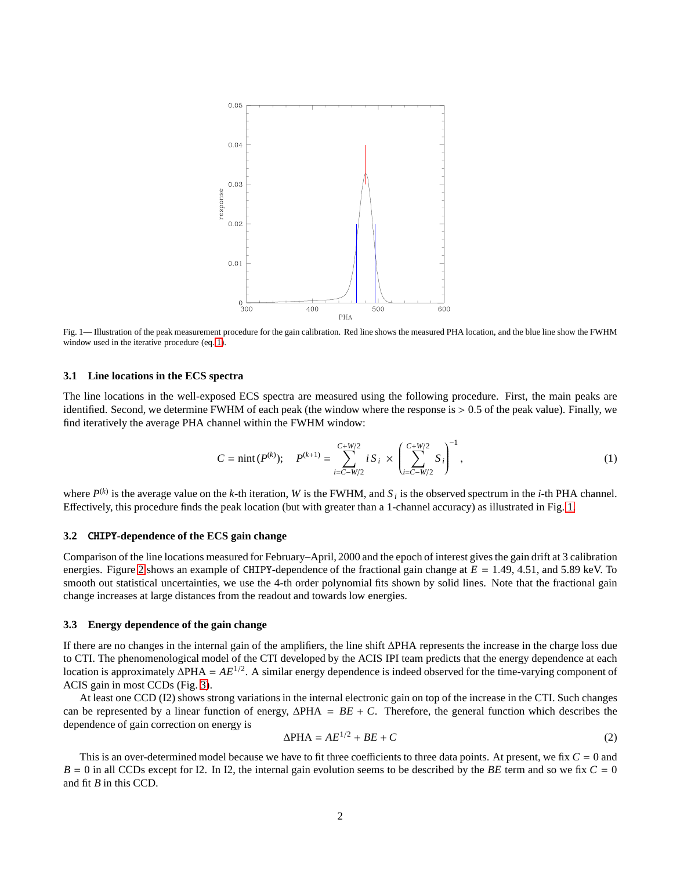

<span id="page-1-1"></span>Fig. 1— Illustration of the peak measurement procedure for the gain calibration. Red line shows the measured PHA location, and the blue line show the FWHM window used in the iterative procedure (eq. [1\)](#page-1-0).

#### **3.1 Line locations in the ECS spectra**

The line locations in the well-exposed ECS spectra are measured using the following procedure. First, the main peaks are identified. Second, we determine FWHM of each peak (the window where the response is > <sup>0</sup>.5 of the peak value). Finally, we find iteratively the average PHA channel within the FWHM window:

<span id="page-1-0"></span>
$$
C = \min(P^{(k)}); \quad P^{(k+1)} = \sum_{i=C-W/2}^{C+W/2} i S_i \times \left(\sum_{i=C-W/2}^{C+W/2} S_i\right)^{-1}, \tag{1}
$$

where  $P^{(k)}$  is the average value on the *k*-th iteration, *W* is the FWHM, and *S<sub>i</sub>* is the observed spectrum in the *i*-th PHA channel. Effectively, this procedure finds the peak location (but with greater than a 1-channel accuracy) as illustrated in Fig. [1.](#page-1-1)

#### **3.2** CHIPY**-dependence of the ECS gain change**

Comparison of the line locations measured for February–April, 2000 and the epoch of interest gives the gain drift at 3 calibration energies. Figure [2](#page-2-1) shows an example of CHIPY-dependence of the fractional gain change at *<sup>E</sup>* <sup>=</sup> <sup>1</sup>.49, 4.51, and 5.89 keV. To smooth out statistical uncertainties, we use the 4-th order polynomial fits shown by solid lines. Note that the fractional gain change increases at large distances from the readout and towards low energies.

#### **3.3 Energy dependence of the gain change**

If there are no changes in the internal gain of the amplifiers, the line shift ∆PHA represents the increase in the charge loss due to CTI. The phenomenological model of the CTI developed by the ACIS IPI team predicts that the energy dependence at each location is approximately ∆PHA = *AE*<sup>1</sup>/2. A similar energy dependence is indeed observed for the time-varying component of ACIS gain in most CCDs (Fig. [3\)](#page-3-0).

At least one CCD (I2) shows strong variations in the internal electronic gain on top of the increase in the CTI. Such changes can be represented by a linear function of energy,  $\Delta PHA = BE + C$ . Therefore, the general function which describes the dependence of gain correction on energy is

<span id="page-1-2"></span>
$$
\Delta PHA = AE^{1/2} + BE + C \tag{2}
$$

This is an over-determined model because we have to fit three coefficients to three data points. At present, we fix *C* = 0 and  $B = 0$  in all CCDs except for I2. In I2, the internal gain evolution seems to be described by the *BE* term and so we fix  $C = 0$ and fit *B* in this CCD.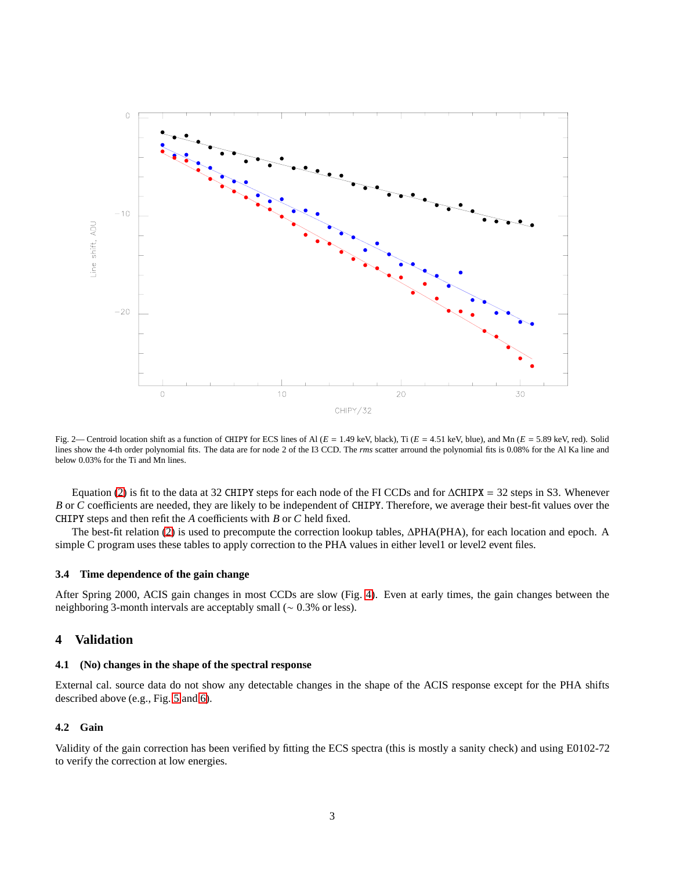

<span id="page-2-1"></span>Fig. 2— Centroid location shift as a function of CHIPY for ECS lines of Al (*<sup>E</sup>* <sup>=</sup> <sup>1</sup>.49 keV, black), Ti (*<sup>E</sup>* <sup>=</sup> <sup>4</sup>.51 keV, blue), and Mn (*<sup>E</sup>* <sup>=</sup> <sup>5</sup>.89 keV, red). Solid lines show the 4-th order polynomial fits. The data are for node 2 of the I3 CCD. The *rms* scatter arround the polynomial fits is 0.08% for the Al Ka line and below 0.03% for the Ti and Mn lines.

Equation [\(2\)](#page-1-2) is fit to the data at 32 CHIPY steps for each node of the FI CCDs and for ∆CHIPX = 32 steps in S3. Whenever *B* or *C* coefficients are needed, they are likely to be independent of CHIPY. Therefore, we average their best-fit values over the CHIPY steps and then refit the *A* coefficients with *B* or *C* held fixed.

The best-fit relation [\(2\)](#page-1-2) is used to precompute the correction lookup tables, ∆PHA(PHA), for each location and epoch. A simple C program uses these tables to apply correction to the PHA values in either level1 or level2 event files.

#### <span id="page-2-0"></span>**3.4 Time dependence of the gain change**

After Spring 2000, ACIS gain changes in most CCDs are slow (Fig. [4\)](#page-4-0). Even at early times, the gain changes between the neighboring 3-month intervals are acceptably small (<sup>∼</sup> <sup>0</sup>.3% or less).

## **4 Validation**

## **4.1 (No) changes in the shape of the spectral response**

External cal. source data do not show any detectable changes in the shape of the ACIS response except for the PHA shifts described above (e.g., Fig. [5](#page-5-0) and [6\)](#page-5-1).

## **4.2 Gain**

Validity of the gain correction has been verified by fitting the ECS spectra (this is mostly a sanity check) and using E0102-72 to verify the correction at low energies.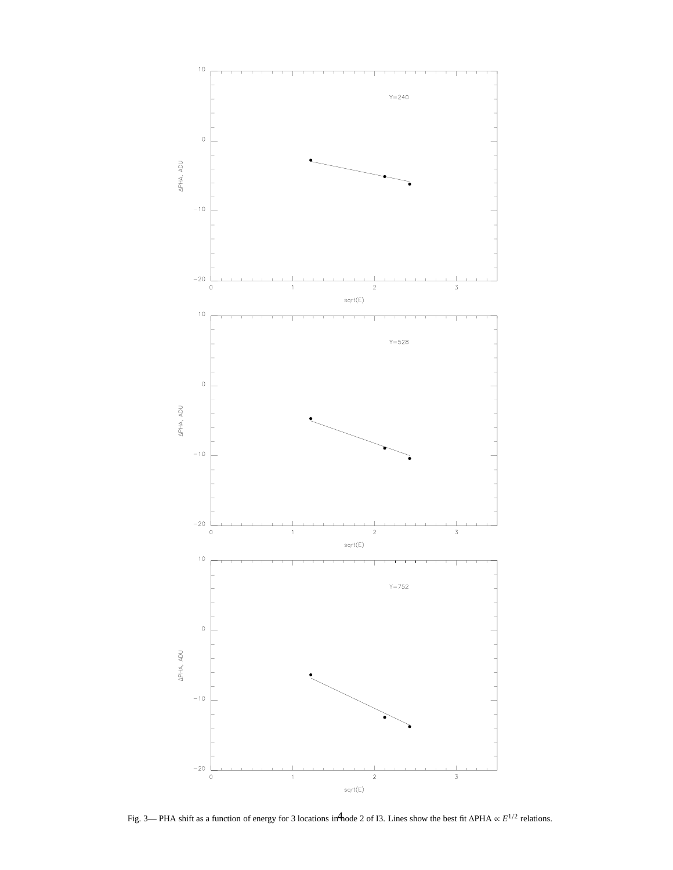

<span id="page-3-0"></span>Fig. 3— PHA shift as a function of energy for 3 locations in node 2 of I3. Lines show the best fit ∆PHA ∝ *E*<sup>1/2</sup> relations.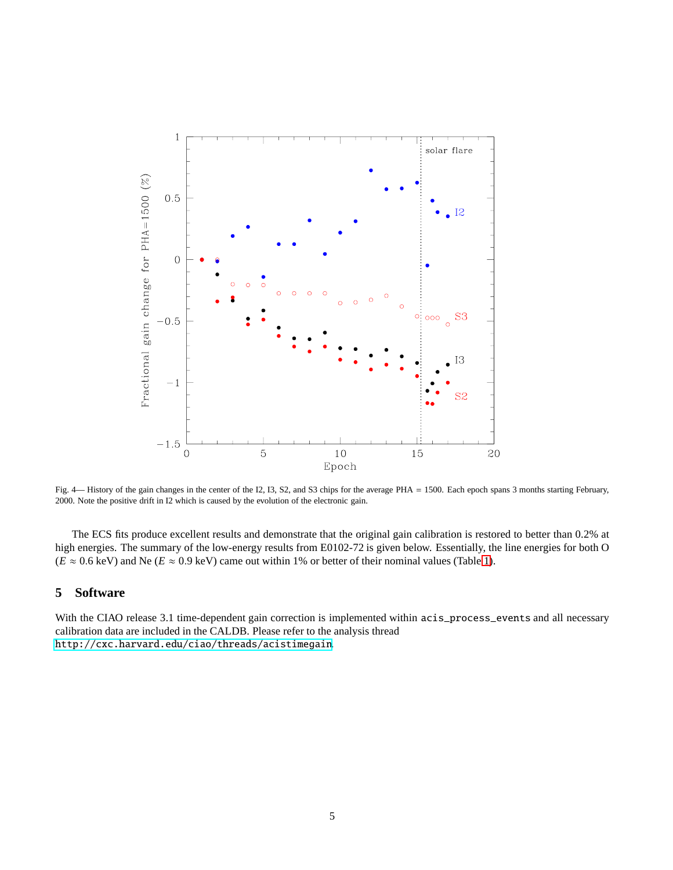

<span id="page-4-0"></span>Fig. 4— History of the gain changes in the center of the I2, I3, S2, and S3 chips for the average PHA = 1500. Each epoch spans 3 months starting February, 2000. Note the positive drift in I2 which is caused by the evolution of the electronic gain.

The ECS fits produce excellent results and demonstrate that the original gain calibration is restored to better than 0.2% at high energies. The summary of the low-energy results from E0102-72 is given below. Essentially, the line energies for both O  $(E \approx 0.6 \text{ keV})$  and Ne  $(E \approx 0.9 \text{ keV})$  came out within 1% or better of their nominal values (Table [1\)](#page-6-0).

## **5 Software**

With the CIAO release 3.1 time-dependent gain correction is implemented within acis\_process\_events and all necessary calibration data are included in the CALDB. Please refer to the analysis thread <http://cxc.harvard.edu/ciao/threads/acistimegain>.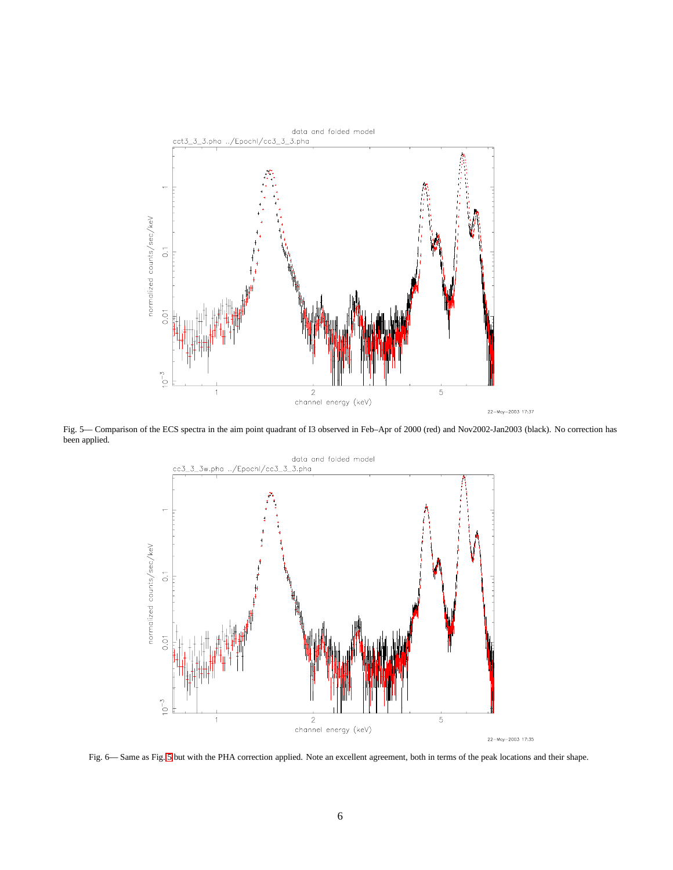

<span id="page-5-0"></span>Fig. 5— Comparison of the ECS spectra in the aim point quadrant of I3 observed in Feb–Apr of 2000 (red) and Nov2002-Jan2003 (black). No correction has been applied.



<span id="page-5-1"></span>Fig. 6— Same as Fig. [5](#page-5-0) but with the PHA correction applied. Note an excellent agreement, both in terms of the peak locations and their shape.